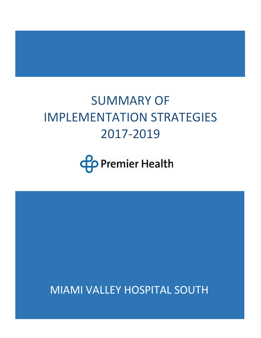# SUMMARY OF IMPLEMENTATION STRATEGIES 2017-2019



MIAMI VALLEY HOSPITAL SOUTH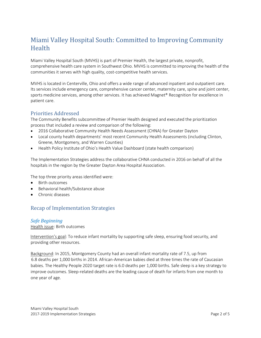# Miami Valley Hospital South: Committed to Improving Community **Health**

Miami Valley Hospital South (MVHS) is part of Premier Health, the largest private, nonprofit, comprehensive health care system in Southwest Ohio. MVHS is committed to improving the health of the communities it serves with high quality, cost-competitive health services.

MVHS is located in Centerville, Ohio and offers a wide range of advanced inpatient and outpatient care. Its services include emergency care, comprehensive cancer center, maternity care, spine and joint center, sports medicine services, among other services. It has achieved Magnet® Recognition for excellence in patient care.

### Priorities Addressed

The Community Benefits subcommittee of Premier Health designed and executed the prioritization process that included a review and comparison of the following:

- 2016 Collaborative Community Health Needs Assessment (CHNA) for Greater Dayton
- Local county health departments' most recent Community Health Assessments (including Clinton, Greene, Montgomery, and Warren Counties)
- Health Policy Institute of Ohio's Health Value Dashboard (state health comparison)

The Implementation Strategies address the collaborative CHNA conducted in 2016 on behalf of all the hospitals in the region by the Greater Dayton Area Hospital Association.

The top three priority areas identified were:

- Birth outcomes
- Behavioral health/Substance abuse
- Chronic diseases

# Recap of Implementation Strategies

*Safe Beginning* Health issue: Birth outcomes

Intervention's goal: To reduce infant mortality by supporting safe sleep, ensuring food security, and providing other resources.

Background: In 2015, Montgomery County had an overall infant mortality rate of 7.5, up from 6.8 deaths per 1,000 births in 2014. African-American babies died at three times the rate of Caucasian babies. The Healthy People 2020 target rate is 6.0 deaths per 1,000 births. Safe sleep is a key strategy to improve outcomes. Sleep-related deaths are the leading cause of death for infants from one month to one year of age.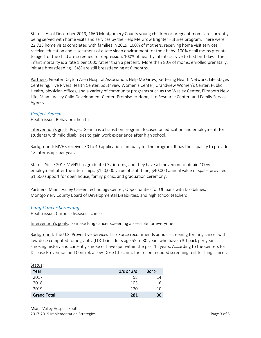Status: As of December 2019, 1660 Montgomery County young children or pregnant moms are currently being served with home visits and services by the Help Me Grow Brighter Futures program. There were 22,713 home visits completed with families in 2019. 100% of mothers, receiving home visit services receive education and assessment of a safe sleep environment for their baby. 100% of all moms prenatal to age 1 of the child are screened for depression. 100% of healthy infants survive to first birthday. The infant mortality is a rate 1 per 1000 rather than a percent. More than 80% of moms, enrolled prenatally, initiate breastfeeding. 54% are still breastfeeding at 6 months.

Partners: Greater Dayton Area Hospital Association, Help Me Grow, Kettering Health Network, Life Stages Centering, Five Rivers Health Center, Southview Women's Center, Grandview Women's Center, Public Health, physician offices, and a variety of community programs such as the Wesley Center, Elizabeth New Life, Miami Valley Child Development Center, Promise to Hope, Life Resource Center, and Family Service Agency.

#### *Project Search*

Health issue: Behavioral health

Intervention's goals: Project Search is a transition program, focused on education and employment, for students with mild disabilities to gain work experience after high school.

Background: MVHS receives 30 to 40 applications annually for the program. It has the capacity to provide 12 internships per year.

Status: Since 2017 MVHS has graduated 32 interns, and they have all moved on to obtain 100% employment after the internships. \$120,000 value of staff time, \$40,000 annual value of space provided \$1,500 support for open house, family picnic, and graduation ceremony.

Partners: Miami Valley Career Technology Center, Opportunities for Ohioans with Disabilities, Montgomery County Board of Developmental Disabilities, and high school teachers

#### *Lung Cancer Screening*

Health issue: Chronic diseases - cancer

Intervention's goals: To make lung cancer screening accessible for everyone.

Background: The U.S. Preventive Services Task Force recommends annual screening for lung cancer with low-dose computed tomography (LDCT) in adults age 55 to 80 years who have a 30-pack per year smoking history and currently smoke or have quit within the past 15 years. According to the Centers for Disease Prevention and Control, a Low-Dose CT scan is the recommended screening test for lung cancer.

| Status:            |                |            |
|--------------------|----------------|------------|
| Year               | $1/s$ or $2/s$ | $3$ or $>$ |
| 2017               | 58             | 14         |
| 2018               | 103            | 6          |
| 2019               | 120            | 10         |
| <b>Grand Total</b> | 281            | 30         |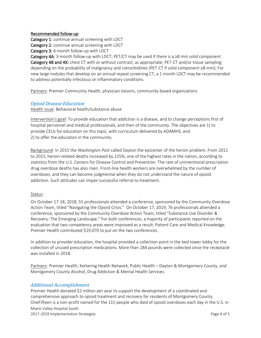#### Recommended follow-up

Category 1: continue annual screening with LDCT

Category 2: continue annual screening with LDCT

Category 3: 6-month follow-up with LDCT

Category 4A: 3-month follow-up with LDCT; PET/CT may be used if there is a  $\geq 8$  mm solid component Category 4B and 4X: chest CT with or without contrast, as appropriate; PET-CT and/or tissue sampling depending on the probability of malignancy and comorbidities (PET-CT if solid component ≥8 mm); For new large nodules that develop on an annual repeat screening CT, a 1 month LDCT may be recommended to address potentially infectious or inflammatory conditions.

Partners: Premier Community Health, physician liaisons, community-based organizations

#### *Opioid Disease Education*

Health issue: Behavioral health/substance abuse

Intervention's goal: To provide education that addiction is a disease, and to change perceptions first of hospital personnel and medical professionals, and then of the community. The objectives are 1) to provide CEUs for education on this topic, with curriculum delivered by ADAMHS, and 2) to offer the education in the community.

Background: In 2015 the *Washington Post* called Dayton the epicenter of the heroin problem. From 2011 to 2015, heroin-related deaths increased by 225%, one of the highest rates in the nation, according to statistics from the U.S. Centers for Disease Control and Prevention. The rate of unintentional prescription drug overdose deaths has also risen. Front-line health workers are overwhelmed by the number of overdoses, and they can become judgmental when they do not understand the nature of opioid addiction. Such attitudes can impair successful referral to treatment.

#### Status:

On October 17-18, 2018, 55 professionals attended a conference, sponsored by the Community Overdose Action Team, titled "Navigating the Opioid Crisis." On October 17, 2019, 76 professionals attended a conference, sponsored by the Community Overdose Action Team, titled "Substance Use Disorder & Recovery: The Emerging Landscape." For both conferences, a majority of participants reported on the evaluation that two competency areas were improved as a result: Patient Care and Medical Knowledge. Premier Health contributed \$19,070 to put on the two conferences.

In addition to provider education, the hospital provided a collection point in the bed tower lobby for the collection of unused prescription medications. More than 284 pounds were collected since the receptacle was installed in 2018.

Partners: Premier Health, Kettering Health Network, Public Health – Dayton & Montgomery County, and Montgomery County Alcohol, Drug Addiction & Mental Health Services.

#### *Additional Accomplishment*

Miami Valley Hospital South 2017-2019 Implementation Strategies Page 4 of 5 Premier Health donated \$2 million per year to support the development of a coordinated and comprehensive approach to opioid treatment and recovery for residents of Montgomery County. OneFifteen is a non-profit named for the 115 people who died of opioid overdoses each day in the U.S. in